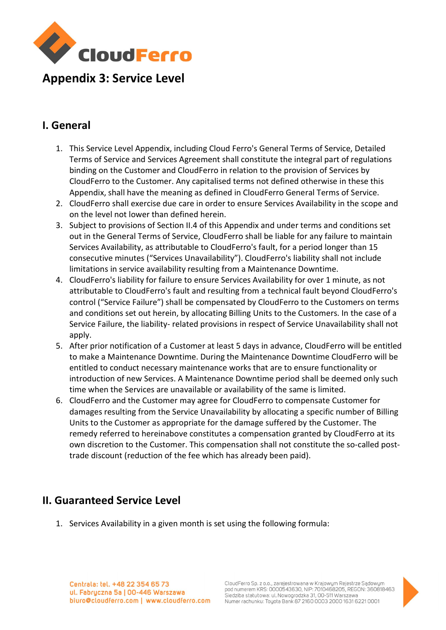

# Appendix 3: Service Level

### I. General

- 1. This Service Level Appendix, including Cloud Ferro's General Terms of Service, Detailed Terms of Service and Services Agreement shall constitute the integral part of regulations binding on the Customer and CloudFerro in relation to the provision of Services by CloudFerro to the Customer. Any capitalised terms not defined otherwise in these this Appendix, shall have the meaning as defined in CloudFerro General Terms of Service.
- 2. CloudFerro shall exercise due care in order to ensure Services Availability in the scope and on the level not lower than defined herein.
- 3. Subject to provisions of Section II.4 of this Appendix and under terms and conditions set out in the General Terms of Service, CloudFerro shall be liable for any failure to maintain Services Availability, as attributable to CloudFerro's fault, for a period longer than 15 consecutive minutes ("Services Unavailability"). CloudFerro's liability shall not include limitations in service availability resulting from a Maintenance Downtime.
- 4. CloudFerro's liability for failure to ensure Services Availability for over 1 minute, as not attributable to CloudFerro's fault and resulting from a technical fault beyond CloudFerro's control ("Service Failure") shall be compensated by CloudFerro to the Customers on terms and conditions set out herein, by allocating Billing Units to the Customers. In the case of a Service Failure, the liability- related provisions in respect of Service Unavailability shall not apply.
- 5. After prior notification of a Customer at least 5 days in advance, CloudFerro will be entitled to make a Maintenance Downtime. During the Maintenance Downtime CloudFerro will be entitled to conduct necessary maintenance works that are to ensure functionality or introduction of new Services. A Maintenance Downtime period shall be deemed only such time when the Services are unavailable or availability of the same is limited.
- 6. CloudFerro and the Customer may agree for CloudFerro to compensate Customer for damages resulting from the Service Unavailability by allocating a specific number of Billing Units to the Customer as appropriate for the damage suffered by the Customer. The remedy referred to hereinabove constitutes a compensation granted by CloudFerro at its own discretion to the Customer. This compensation shall not constitute the so-called posttrade discount (reduction of the fee which has already been paid).

#### II. Guaranteed Service Level

1. Services Availability in a given month is set using the following formula:

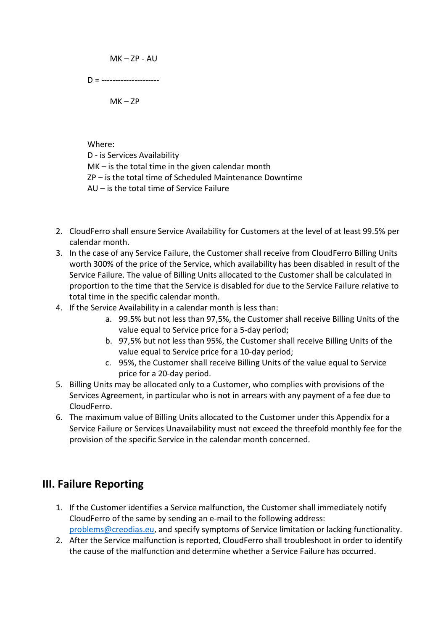$MK - ZP - AU$ 

 $D =$  -----------------------

 $MK - ZP$ 

Where:

D - is Services Availability MK – is the total time in the given calendar month ZP – is the total time of Scheduled Maintenance Downtime AU – is the total time of Service Failure

- 2. CloudFerro shall ensure Service Availability for Customers at the level of at least 99.5% per calendar month.
- 3. In the case of any Service Failure, the Customer shall receive from CloudFerro Billing Units worth 300% of the price of the Service, which availability has been disabled in result of the Service Failure. The value of Billing Units allocated to the Customer shall be calculated in proportion to the time that the Service is disabled for due to the Service Failure relative to total time in the specific calendar month.
- 4. If the Service Availability in a calendar month is less than:
	- a. 99.5% but not less than 97,5%, the Customer shall receive Billing Units of the value equal to Service price for a 5-day period;
	- b. 97,5% but not less than 95%, the Customer shall receive Billing Units of the value equal to Service price for a 10-day period;
	- c. 95%, the Customer shall receive Billing Units of the value equal to Service price for a 20-day period.
- 5. Billing Units may be allocated only to a Customer, who complies with provisions of the Services Agreement, in particular who is not in arrears with any payment of a fee due to CloudFerro.
- 6. The maximum value of Billing Units allocated to the Customer under this Appendix for a Service Failure or Services Unavailability must not exceed the threefold monthly fee for the provision of the specific Service in the calendar month concerned.

#### III. Failure Reporting

- 1. If the Customer identifies a Service malfunction, the Customer shall immediately notify CloudFerro of the same by sending an e-mail to the following address: problems@creodias.eu, and specify symptoms of Service limitation or lacking functionality.
- 2. After the Service malfunction is reported, CloudFerro shall troubleshoot in order to identify the cause of the malfunction and determine whether a Service Failure has occurred.